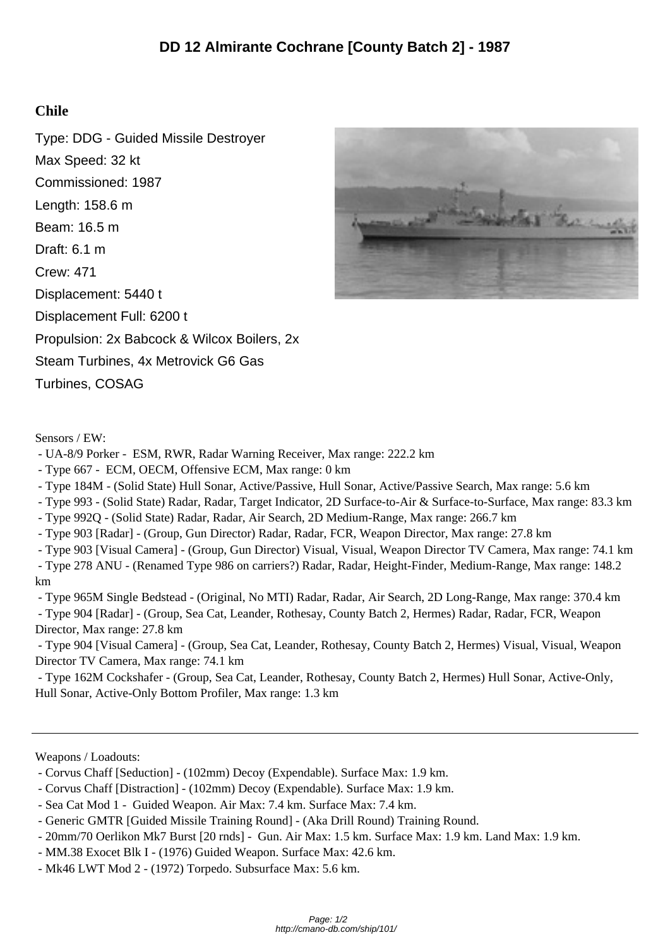## **Chile**

Type: DDG - Guided Missile Destroyer Max Speed: 32 kt Commissioned: 1987 Length: 158.6 m Beam: 16.5 m Draft: 6.1 m Crew: 471 Displacement: 5440 t Displacement Full: 6200 t Propulsion: 2x Babcock & Wilcox Boilers, 2x Steam Turbines, 4x Metrovick G6 Gas Turbines, COSAG



Sensors / EW:

- UA-8/9 Porker - ESM, RWR, Radar Warning Receiver, Max range: 222.2 km

- Type 667 - ECM, OECM, Offensive ECM, Max range: 0 km

- Type 184M - (Solid State) Hull Sonar, Active/Passive, Hull Sonar, Active/Passive Search, Max range: 5.6 km

- Type 993 - (Solid State) Radar, Radar, Target Indicator, 2D Surface-to-Air & Surface-to-Surface, Max range: 83.3 km

- Type 992Q - (Solid State) Radar, Radar, Air Search, 2D Medium-Range, Max range: 266.7 km

- Type 903 [Radar] - (Group, Gun Director) Radar, Radar, FCR, Weapon Director, Max range: 27.8 km

- Type 903 [Visual Camera] - (Group, Gun Director) Visual, Visual, Weapon Director TV Camera, Max range: 74.1 km

 - Type 278 ANU - (Renamed Type 986 on carriers?) Radar, Radar, Height-Finder, Medium-Range, Max range: 148.2 km

 - Type 965M Single Bedstead - (Original, No MTI) Radar, Radar, Air Search, 2D Long-Range, Max range: 370.4 km - Type 904 [Radar] - (Group, Sea Cat, Leander, Rothesay, County Batch 2, Hermes) Radar, Radar, FCR, Weapon Director, Max range: 27.8 km

 - Type 904 [Visual Camera] - (Group, Sea Cat, Leander, Rothesay, County Batch 2, Hermes) Visual, Visual, Weapon Director TV Camera, Max range: 74.1 km

 - Type 162M Cockshafer - (Group, Sea Cat, Leander, Rothesay, County Batch 2, Hermes) Hull Sonar, Active-Only, Hull Sonar, Active-Only Bottom Profiler, Max range: 1.3 km

Weapons / Loadouts:

- Corvus Chaff [Seduction] (102mm) Decoy (Expendable). Surface Max: 1.9 km.
- Corvus Chaff [Distraction] (102mm) Decoy (Expendable). Surface Max: 1.9 km.
- Sea Cat Mod 1 Guided Weapon. Air Max: 7.4 km. Surface Max: 7.4 km.

- Generic GMTR [Guided Missile Training Round] - (Aka Drill Round) Training Round.

- 20mm/70 Oerlikon Mk7 Burst [20 rnds] - Gun. Air Max: 1.5 km. Surface Max: 1.9 km. Land Max: 1.9 km.

- MM.38 Exocet Blk I (1976) Guided Weapon. Surface Max: 42.6 km.
- Mk46 LWT Mod 2 (1972) Torpedo. Subsurface Max: 5.6 km.